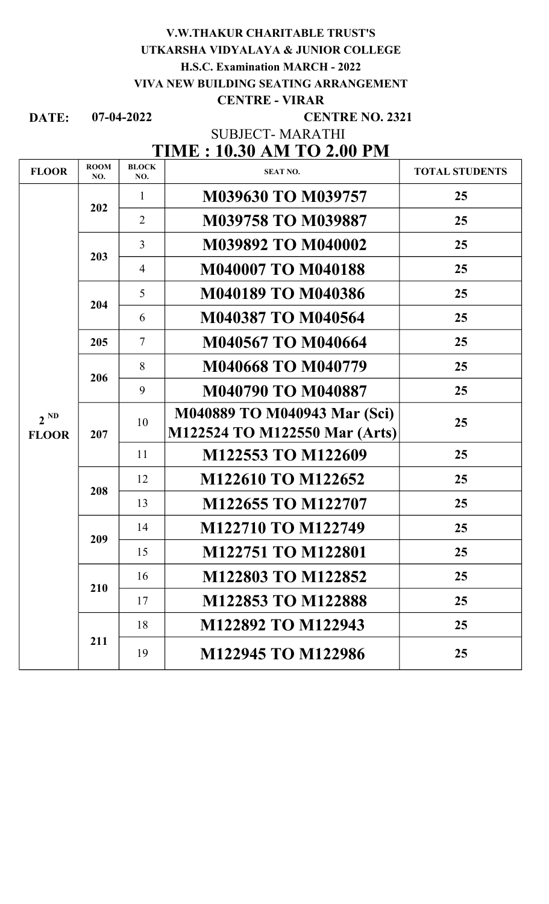# V.W.THAKUR CHARITABLE TRUST'S UTKARSHA VIDYALAYA & JUNIOR COLLEGE H.S.C. Examination MARCH - 2022 VIVA NEW BUILDING SEATING ARRANGEMENT

### CENTRE - VIRAR

DATE: 07-04-2022

CENTRE NO. 2321

SUBJECT- MARATHI

# TIME : 10.30 AM TO 2.00 PM

| <b>FLOOR</b>             | <b>ROOM</b><br>NO. | <b>BLOCK</b><br>NO. | <b>SEAT NO.</b>               | <b>TOTAL STUDENTS</b> |
|--------------------------|--------------------|---------------------|-------------------------------|-----------------------|
| $2^{ND}$<br><b>FLOOR</b> | 202                | $\mathbf{1}$        | M039630 TO M039757            | 25                    |
|                          |                    | $\overline{2}$      | M039758 TO M039887            | 25                    |
|                          | 203                | $\overline{3}$      | M039892 TO M040002            | 25                    |
|                          |                    | 4                   | M040007 TO M040188            | 25                    |
|                          | 204                | 5                   | <b>M040189 TO M040386</b>     | 25                    |
|                          |                    | 6                   | M040387 TO M040564            | 25                    |
|                          | 205                | $\overline{7}$      | <b>M040567 TO M040664</b>     | 25                    |
|                          | 206                | 8                   | <b>M040668 TO M040779</b>     | 25                    |
|                          |                    | 9                   | <b>M040790 TO M040887</b>     | 25                    |
|                          | 207                | 10                  | M040889 TO M040943 Mar (Sci)  | 25                    |
|                          |                    |                     | M122524 TO M122550 Mar (Arts) |                       |
|                          |                    | 11                  | M122553 TO M122609            | 25                    |
|                          | 208                | 12                  | M122610 TO M122652            | 25                    |
|                          |                    | 13                  | M122655 TO M122707            | 25                    |
|                          | 209                | 14                  | M122710 TO M122749            | 25                    |
|                          |                    | 15                  | M122751 TO M122801            | 25                    |
|                          | 210                | 16                  | M122803 TO M122852            | 25                    |
|                          |                    | 17                  | M122853 TO M122888            | 25                    |
|                          | 211                | 18                  | M122892 TO M122943            | 25                    |
|                          |                    | 19                  | M122945 TO M122986            | 25                    |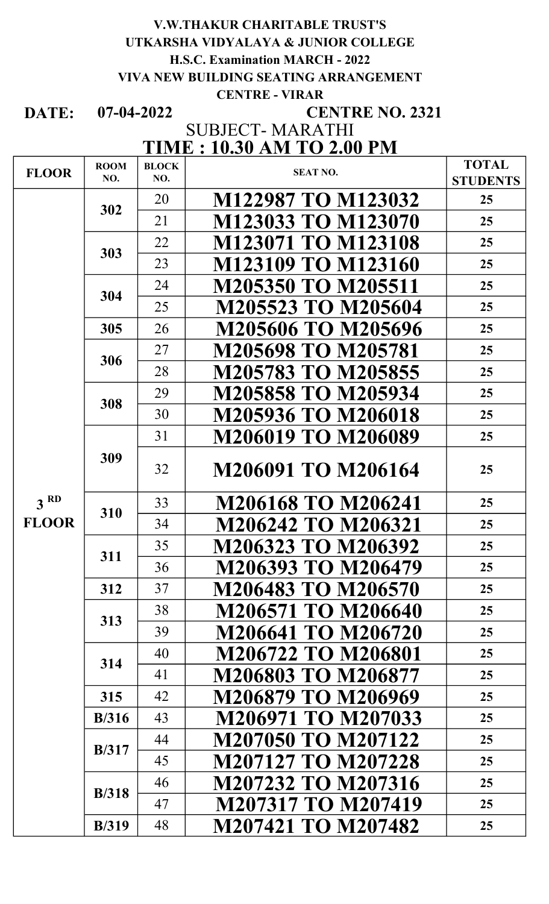## V.W.THAKUR CHARITABLE TRUST'S UTKARSHA VIDYALAYA & JUNIOR COLLEGE H.S.C. Examination MARCH - 2022 VIVA NEW BUILDING SEATING ARRANGEMENT CENTRE - VIRAR

DATE: 07-04-2022

# CENTRE NO. 2321

# TIME : 10.30 AM TO 2.00 PM SUBJECT- MARATHI

| <b>FLOOR</b>    | <b>ROOM</b>   | <b>BLOCK</b> | <b>SEAT NO.</b>           | <b>TOTAL</b>    |
|-----------------|---------------|--------------|---------------------------|-----------------|
|                 | NO.           | NO.          |                           | <b>STUDENTS</b> |
|                 | 302           | 20           | M122987 TO M123032        | 25              |
|                 |               | 21           | M123033 TO M123070        | 25              |
|                 | 303           | 22           | M123071 TO M123108        | 25              |
|                 |               | 23           | M123109 TO M123160        | 25              |
|                 | 304           | 24           | <b>M205350 TO M205511</b> | 25              |
|                 |               | 25           | M205523 TO M205604        | 25              |
|                 | 305           | 26           | <b>M205606 TO M205696</b> | 25              |
|                 | 306           | 27           | <b>M205698 TO M205781</b> | 25              |
|                 |               | 28           | <b>M205783 TO M205855</b> | 25              |
|                 | 308           | 29           | <b>M205858 TO M205934</b> | 25              |
|                 |               | 30           | <b>M205936 TO M206018</b> | 25              |
|                 | 309           | 31           | <b>M206019 TO M206089</b> | 25              |
|                 |               | 32           | M206091 TO M206164        | 25              |
| 3 <sup>RD</sup> |               | 33           | <b>M206168 TO M206241</b> | 25              |
| <b>FLOOR</b>    | 310           | 34           | M206242 TO M206321        | 25              |
|                 | 311           | 35           | M206323 TO M206392        | 25              |
|                 |               | 36           | M206393 TO M206479        | 25              |
|                 | 312           | 37           | M206483 TO M206570        | 25 <sub>1</sub> |
|                 |               | 38           | M206571 TO M206640        | 25 <sub>1</sub> |
|                 | 313           | 39           | M206641 TO M206720        | 25 <sub>1</sub> |
|                 |               | 40           | M206722 TO M206801        | 25 <sub>1</sub> |
|                 | 314           | 41           | M206803 TO M206877        | 25 <sub>1</sub> |
|                 | 315           | 42           | M206879 TO M206969        | 25 <sub>1</sub> |
|                 | B/316         | 43           | M206971 TO M207033        | 25              |
|                 |               | 44           | M207050 TO M207122        | 25 <sub>1</sub> |
|                 | B/317         | 45           | <b>M207127 TO M207228</b> | 25 <sub>1</sub> |
|                 |               | 46           | M207232 TO M207316        | 25 <sub>1</sub> |
|                 | <b>B</b> /318 | 47           | M207317 TO M207419        | 25 <sub>1</sub> |
|                 | <b>B</b> /319 | 48           | M207421 TO M207482        | 25              |